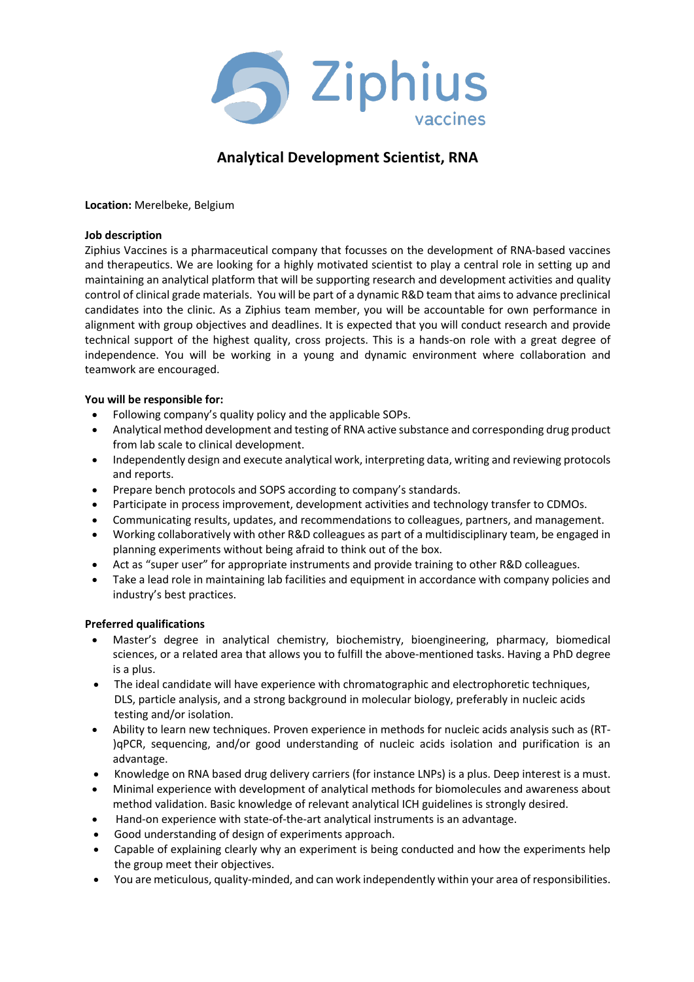

# **Analytical Development Scientist, RNA**

**Location:** Merelbeke, Belgium

### **Job description**

Ziphius Vaccines is a pharmaceutical company that focusses on the development of RNA-based vaccines and therapeutics. We are looking for a highly motivated scientist to play a central role in setting up and maintaining an analytical platform that will be supporting research and development activities and quality control of clinical grade materials. You will be part of a dynamic R&D team that aims to advance preclinical candidates into the clinic. As a Ziphius team member, you will be accountable for own performance in alignment with group objectives and deadlines. It is expected that you will conduct research and provide technical support of the highest quality, cross projects. This is a hands-on role with a great degree of independence. You will be working in a young and dynamic environment where collaboration and teamwork are encouraged.

# **You will be responsible for:**

- Following company's quality policy and the applicable SOPs.
- Analytical method development and testing of RNA active substance and corresponding drug product from lab scale to clinical development.
- Independently design and execute analytical work, interpreting data, writing and reviewing protocols and reports.
- Prepare bench protocols and SOPS according to company's standards.
- Participate in process improvement, development activities and technology transfer to CDMOs.
- Communicating results, updates, and recommendations to colleagues, partners, and management.
- Working collaboratively with other R&D colleagues as part of a multidisciplinary team, be engaged in planning experiments without being afraid to think out of the box.
- Act as "super user" for appropriate instruments and provide training to other R&D colleagues.
- Take a lead role in maintaining lab facilities and equipment in accordance with company policies and industry's best practices.

# **Preferred qualifications**

- Master's degree in analytical chemistry, biochemistry, bioengineering, pharmacy, biomedical sciences, or a related area that allows you to fulfill the above-mentioned tasks. Having a PhD degree is a plus.
- The ideal candidate will have experience with chromatographic and electrophoretic techniques, DLS, particle analysis, and a strong background in molecular biology, preferably in nucleic acids testing and/or isolation.
- Ability to learn new techniques. Proven experience in methods for nucleic acids analysis such as (RT- )qPCR, sequencing, and/or good understanding of nucleic acids isolation and purification is an advantage.
- Knowledge on RNA based drug delivery carriers (for instance LNPs) is a plus. Deep interest is a must.
- Minimal experience with development of analytical methods for biomolecules and awareness about method validation. Basic knowledge of relevant analytical ICH guidelines is strongly desired.
- Hand-on experience with state-of-the-art analytical instruments is an advantage.
- Good understanding of design of experiments approach.
- Capable of explaining clearly why an experiment is being conducted and how the experiments help the group meet their objectives.
- You are meticulous, quality-minded, and can work independently within your area of responsibilities.